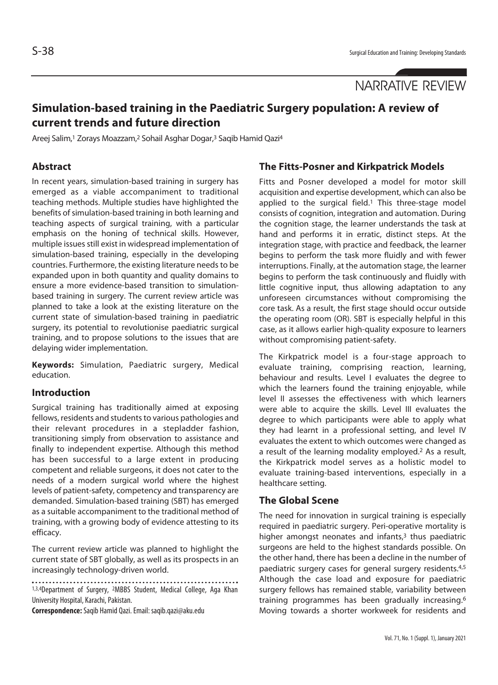# **Simulation-based training in the Paediatric Surgery population: A review of current trends and future direction**

Areej Salim,1 Zorays Moazzam,2 Sohail Asghar Dogar,3 Saqib Hamid Qazi4

### **Abstract**

In recent years, simulation-based training in surgery has emerged as a viable accompaniment to traditional teaching methods. Multiple studies have highlighted the benefits of simulation-based training in both learning and teaching aspects of surgical training, with a particular emphasis on the honing of technical skills. However, multiple issues still exist in widespread implementation of simulation-based training, especially in the developing countries. Furthermore, the existing literature needs to be expanded upon in both quantity and quality domains to ensure a more evidence-based transition to simulationbased training in surgery. The current review article was planned to take a look at the existing literature on the current state of simulation-based training in paediatric surgery, its potential to revolutionise paediatric surgical training, and to propose solutions to the issues that are delaying wider implementation.

**Keywords:** Simulation, Paediatric surgery, Medical education.

#### **Introduction**

Surgical training has traditionally aimed at exposing fellows, residents and students to various pathologies and their relevant procedures in a stepladder fashion, transitioning simply from observation to assistance and finally to independent expertise. Although this method has been successful to a large extent in producing competent and reliable surgeons, it does not cater to the needs of a modern surgical world where the highest levels of patient-safety, competency and transparency are demanded. Simulation-based training (SBT) has emerged as a suitable accompaniment to the traditional method of training, with a growing body of evidence attesting to its efficacy.

The current review article was planned to highlight the current state of SBT globally, as well as its prospects in an increasingly technology-driven world.

1,3,4Department of Surgery, <sup>2</sup>MBBS Student, Medical College, Aga Khan University Hospital, Karachi, Pakistan.

**Correspondence:** Saqib Hamid Qazi. Email: saqib.qazi@aku.edu

## **The Fitts-Posner and Kirkpatrick Models**

Fitts and Posner developed a model for motor skill acquisition and expertise development, which can also be applied to the surgical field.<sup>1</sup> This three-stage model consists of cognition, integration and automation. During the cognition stage, the learner understands the task at hand and performs it in erratic, distinct steps. At the integration stage, with practice and feedback, the learner begins to perform the task more fluidly and with fewer interruptions. Finally, at the automation stage, the learner begins to perform the task continuously and fluidly with little cognitive input, thus allowing adaptation to any unforeseen circumstances without compromising the core task. As a result, the first stage should occur outside the operating room (OR). SBT is especially helpful in this case, as it allows earlier high-quality exposure to learners without compromising patient-safety.

The Kirkpatrick model is a four-stage approach to evaluate training, comprising reaction, learning, behaviour and results. Level I evaluates the degree to which the learners found the training enjoyable, while level II assesses the effectiveness with which learners were able to acquire the skills. Level III evaluates the degree to which participants were able to apply what they had learnt in a professional setting, and level IV evaluates the extent to which outcomes were changed as a result of the learning modality employed.<sup>2</sup> As a result, the Kirkpatrick model serves as a holistic model to evaluate training-based interventions, especially in a healthcare setting.

#### **The Global Scene**

The need for innovation in surgical training is especially required in paediatric surgery. Peri-operative mortality is higher amongst neonates and infants, $3$  thus paediatric surgeons are held to the highest standards possible. On the other hand, there has been a decline in the number of paediatric surgery cases for general surgery residents.4,5 Although the case load and exposure for paediatric surgery fellows has remained stable, variability between training programmes has been gradually increasing.6 Moving towards a shorter workweek for residents and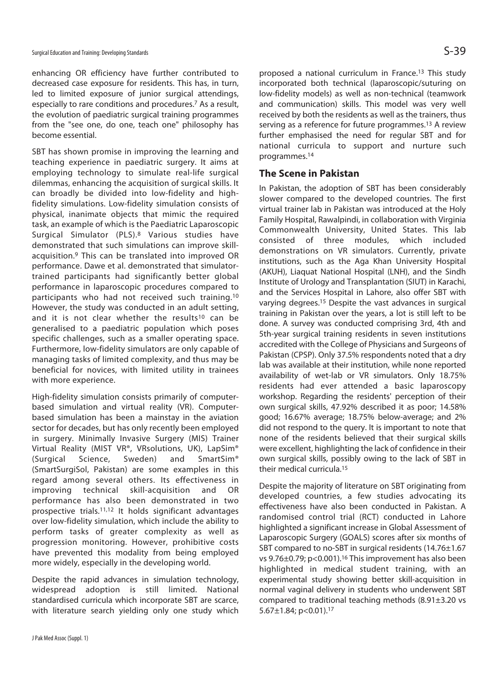enhancing OR efficiency have further contributed to decreased case exposure for residents. This has, in turn, led to limited exposure of junior surgical attendings, especially to rare conditions and procedures.7 As a result, the evolution of paediatric surgical training programmes from the "see one, do one, teach one" philosophy has become essential.

SBT has shown promise in improving the learning and teaching experience in paediatric surgery. It aims at employing technology to simulate real-life surgical dilemmas, enhancing the acquisition of surgical skills. It can broadly be divided into low-fidelity and highfidelity simulations. Low-fidelity simulation consists of physical, inanimate objects that mimic the required task, an example of which is the Paediatric Laparoscopic Surgical Simulator (PLS).8 Various studies have demonstrated that such simulations can improve skillacquisition.<sup>9</sup> This can be translated into improved OR performance. Dawe et al. demonstrated that simulatortrained participants had significantly better global performance in laparoscopic procedures compared to participants who had not received such training.10 However, the study was conducted in an adult setting, and it is not clear whether the results<sup>10</sup> can be generalised to a paediatric population which poses specific challenges, such as a smaller operating space. Furthermore, low-fidelity simulators are only capable of managing tasks of limited complexity, and thus may be beneficial for novices, with limited utility in trainees with more experience.

High-fidelity simulation consists primarily of computerbased simulation and virtual reality (VR). Computerbased simulation has been a mainstay in the aviation sector for decades, but has only recently been employed in surgery. Minimally Invasive Surgery (MIS) Trainer Virtual Reality (MIST VR®, VRsolutions, UK), LapSim® (Surgical Science, Sweden) and SmartSim® (SmartSurgiSol, Pakistan) are some examples in this regard among several others. Its effectiveness in improving technical skill-acquisition and OR performance has also been demonstrated in two prospective trials.11,12 It holds significant advantages over low-fidelity simulation, which include the ability to perform tasks of greater complexity as well as progression monitoring. However, prohibitive costs have prevented this modality from being employed more widely, especially in the developing world.

Despite the rapid advances in simulation technology, widespread adoption is still limited. National standardised curricula which incorporate SBT are scarce, with literature search yielding only one study which

proposed a national curriculum in France.13 This study incorporated both technical (laparoscopic/suturing on low-fidelity models) as well as non-technical (teamwork and communication) skills. This model was very well received by both the residents as well as the trainers, thus serving as a reference for future programmes.13 A review further emphasised the need for regular SBT and for national curricula to support and nurture such programmes.14

#### **The Scene in Pakistan**

In Pakistan, the adoption of SBT has been considerably slower compared to the developed countries. The first virtual trainer lab in Pakistan was introduced at the Holy Family Hospital, Rawalpindi, in collaboration with Virginia Commonwealth University, United States. This lab consisted of three modules, which included demonstrations on VR simulators. Currently, private institutions, such as the Aga Khan University Hospital (AKUH), Liaquat National Hospital (LNH), and the Sindh Institute of Urology and Transplantation (SIUT) in Karachi, and the Services Hospital in Lahore, also offer SBT with varying degrees.15 Despite the vast advances in surgical training in Pakistan over the years, a lot is still left to be done. A survey was conducted comprising 3rd, 4th and 5th-year surgical training residents in seven institutions accredited with the College of Physicians and Surgeons of Pakistan (CPSP). Only 37.5% respondents noted that a dry lab was available at their institution, while none reported availability of wet-lab or VR simulators. Only 18.75% residents had ever attended a basic laparoscopy workshop. Regarding the residents' perception of their own surgical skills, 47.92% described it as poor; 14.58% good; 16.67% average; 18.75% below-average; and 2% did not respond to the query. It is important to note that none of the residents believed that their surgical skills were excellent, highlighting the lack of confidence in their own surgical skills, possibly owing to the lack of SBT in their medical curricula.15

Despite the majority of literature on SBT originating from developed countries, a few studies advocating its effectiveness have also been conducted in Pakistan. A randomised control trial (RCT) conducted in Lahore highlighted a significant increase in Global Assessment of Laparoscopic Surgery (GOALS) scores after six months of SBT compared to no-SBT in surgical residents (14.76±1.67 vs 9.76±0.79; p<0.001).16 This improvement has also been highlighted in medical student training, with an experimental study showing better skill-acquisition in normal vaginal delivery in students who underwent SBT compared to traditional teaching methods (8.91±3.20 vs 5.67±1.84; p<0.01).17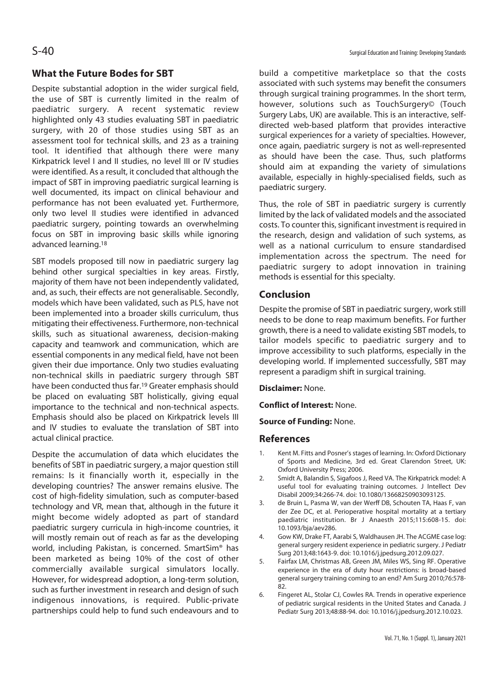## **What the Future Bodes for SBT**

Despite substantial adoption in the wider surgical field, the use of SBT is currently limited in the realm of paediatric surgery. A recent systematic review highlighted only 43 studies evaluating SBT in paediatric surgery, with 20 of those studies using SBT as an assessment tool for technical skills, and 23 as a training tool. It identified that although there were many Kirkpatrick level I and II studies, no level III or IV studies were identified. As a result, it concluded that although the impact of SBT in improving paediatric surgical learning is well documented, its impact on clinical behaviour and performance has not been evaluated yet. Furthermore, only two level II studies were identified in advanced paediatric surgery, pointing towards an overwhelming focus on SBT in improving basic skills while ignoring advanced learning.18

SBT models proposed till now in paediatric surgery lag behind other surgical specialties in key areas. Firstly, majority of them have not been independently validated, and, as such, their effects are not generalisable. Secondly, models which have been validated, such as PLS, have not been implemented into a broader skills curriculum, thus mitigating their effectiveness. Furthermore, non-technical skills, such as situational awareness, decision-making capacity and teamwork and communication, which are essential components in any medical field, have not been given their due importance. Only two studies evaluating non-technical skills in paediatric surgery through SBT have been conducted thus far.19 Greater emphasis should be placed on evaluating SBT holistically, giving equal importance to the technical and non-technical aspects. Emphasis should also be placed on Kirkpatrick levels III and IV studies to evaluate the translation of SBT into actual clinical practice.

Despite the accumulation of data which elucidates the benefits of SBT in paediatric surgery, a major question still remains: Is it financially worth it, especially in the developing countries? The answer remains elusive. The cost of high-fidelity simulation, such as computer-based technology and VR, mean that, although in the future it might become widely adopted as part of standard paediatric surgery curricula in high-income countries, it will mostly remain out of reach as far as the developing world, including Pakistan, is concerned. SmartSim® has been marketed as being 10% of the cost of other commercially available surgical simulators locally. However, for widespread adoption, a long-term solution, such as further investment in research and design of such indigenous innovations, is required. Public-private partnerships could help to fund such endeavours and to

build a competitive marketplace so that the costs associated with such systems may benefit the consumers through surgical training programmes. In the short term, however, solutions such as TouchSurgery© (Touch Surgery Labs, UK) are available. This is an interactive, selfdirected web-based platform that provides interactive surgical experiences for a variety of specialties. However, once again, paediatric surgery is not as well-represented as should have been the case. Thus, such platforms should aim at expanding the variety of simulations available, especially in highly-specialised fields, such as paediatric surgery.

Thus, the role of SBT in paediatric surgery is currently limited by the lack of validated models and the associated costs. To counter this, significant investment is required in the research, design and validation of such systems, as well as a national curriculum to ensure standardised implementation across the spectrum. The need for paediatric surgery to adopt innovation in training methods is essential for this specialty.

## **Conclusion**

Despite the promise of SBT in paediatric surgery, work still needs to be done to reap maximum benefits. For further growth, there is a need to validate existing SBT models, to tailor models specific to paediatric surgery and to improve accessibility to such platforms, especially in the developing world. If implemented successfully, SBT may represent a paradigm shift in surgical training.

**Disclaimer:** None.

**Conflict of Interest:** None.

**Source of Funding:** None.

#### **References**

- 1. Kent M. Fitts and Posner's stages of learning. In: Oxford Dictionary of Sports and Medicine, 3rd ed. Great Clarendon Street, UK: Oxford University Press; 2006.
- 2. Smidt A, Balandin S, Sigafoos J, Reed VA. The Kirkpatrick model: A useful tool for evaluating training outcomes. J Intellect Dev Disabil 2009;34:266-74. doi: 10.1080/13668250903093125.
- 3. de Bruin L, Pasma W, van der Werff DB, Schouten TA, Haas F, van der Zee DC, et al. Perioperative hospital mortality at a tertiary paediatric institution. Br J Anaesth 2015;115:608-15. doi: 10.1093/bja/aev286.
- 4. Gow KW, Drake FT, Aarabi S, Waldhausen JH. The ACGME case log: general surgery resident experience in pediatric surgery. J Pediatr Surg 2013;48:1643-9. doi: 10.1016/j.jpedsurg.2012.09.027.
- 5. Fairfax LM, Christmas AB, Green JM, Miles WS, Sing RF. Operative experience in the era of duty hour restrictions: is broad-based general surgery training coming to an end? Am Surg 2010;76:578- 82.
- 6. Fingeret AL, Stolar CJ, Cowles RA. Trends in operative experience of pediatric surgical residents in the United States and Canada. J Pediatr Surg 2013;48:88-94. doi: 10.1016/j.jpedsurg.2012.10.023.